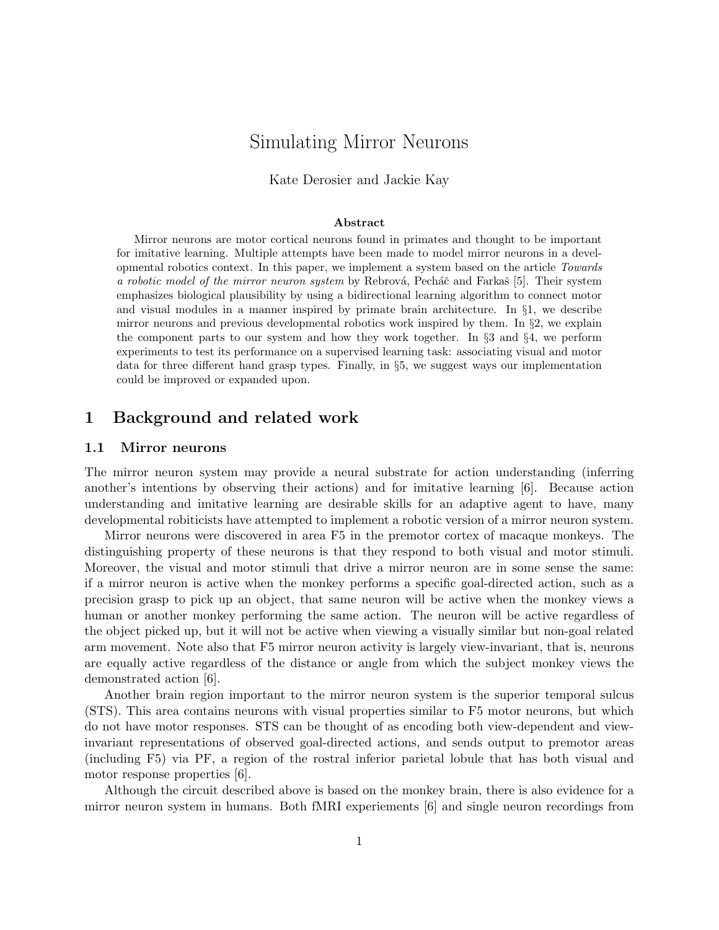# Simulating Mirror Neurons

Kate Derosier and Jackie Kay

#### Abstract

Mirror neurons are motor cortical neurons found in primates and thought to be important for imitative learning. Multiple attempts have been made to model mirror neurons in a developmental robotics context. In this paper, we implement a system based on the article Towards a robotic model of the mirror neuron system by Rebrová, Pecháč and Farkaš [5]. Their system emphasizes biological plausibility by using a bidirectional learning algorithm to connect motor and visual modules in a manner inspired by primate brain architecture. In §1, we describe mirror neurons and previous developmental robotics work inspired by them. In §2, we explain the component parts to our system and how they work together. In  $\S$ 3 and  $\S$ 4, we perform experiments to test its performance on a supervised learning task: associating visual and motor data for three different hand grasp types. Finally, in §5, we suggest ways our implementation could be improved or expanded upon.

## 1 Background and related work

#### 1.1 Mirror neurons

The mirror neuron system may provide a neural substrate for action understanding (inferring another's intentions by observing their actions) and for imitative learning [6]. Because action understanding and imitative learning are desirable skills for an adaptive agent to have, many developmental robiticists have attempted to implement a robotic version of a mirror neuron system.

Mirror neurons were discovered in area F5 in the premotor cortex of macaque monkeys. The distinguishing property of these neurons is that they respond to both visual and motor stimuli. Moreover, the visual and motor stimuli that drive a mirror neuron are in some sense the same: if a mirror neuron is active when the monkey performs a specific goal-directed action, such as a precision grasp to pick up an object, that same neuron will be active when the monkey views a human or another monkey performing the same action. The neuron will be active regardless of the object picked up, but it will not be active when viewing a visually similar but non-goal related arm movement. Note also that F5 mirror neuron activity is largely view-invariant, that is, neurons are equally active regardless of the distance or angle from which the subject monkey views the demonstrated action [6].

Another brain region important to the mirror neuron system is the superior temporal sulcus (STS). This area contains neurons with visual properties similar to F5 motor neurons, but which do not have motor responses. STS can be thought of as encoding both view-dependent and viewinvariant representations of observed goal-directed actions, and sends output to premotor areas (including F5) via PF, a region of the rostral inferior parietal lobule that has both visual and motor response properties [6].

Although the circuit described above is based on the monkey brain, there is also evidence for a mirror neuron system in humans. Both fMRI experiements [6] and single neuron recordings from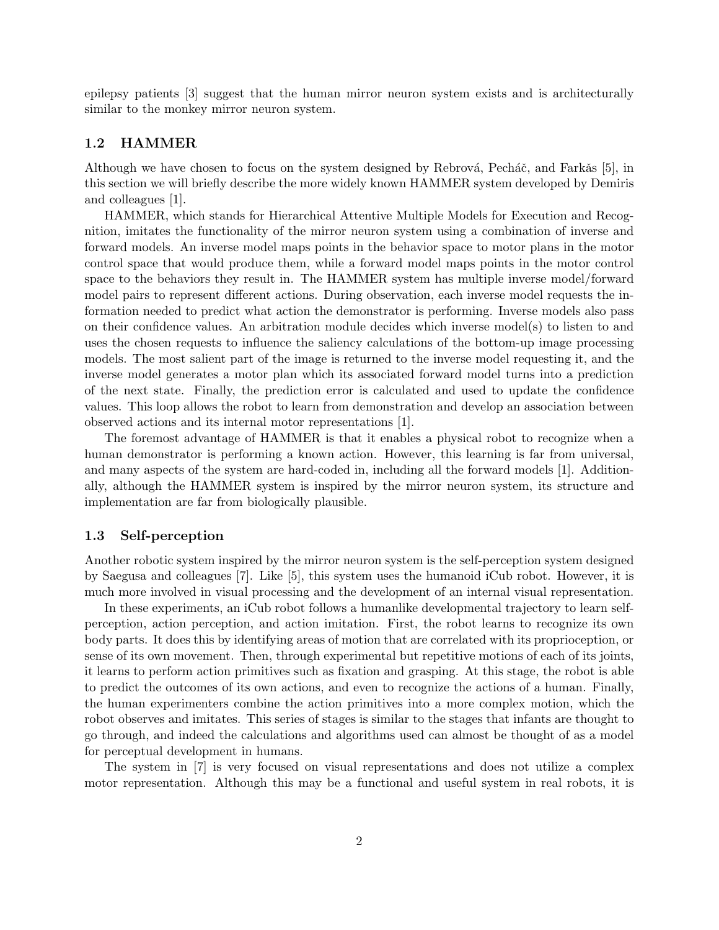epilepsy patients [3] suggest that the human mirror neuron system exists and is architecturally similar to the monkey mirror neuron system.

### 1.2 HAMMER

Although we have chosen to focus on the system designed by Rebrová, Pecháč, and Farkǎs [5], in this section we will briefly describe the more widely known HAMMER system developed by Demiris and colleagues [1].

HAMMER, which stands for Hierarchical Attentive Multiple Models for Execution and Recognition, imitates the functionality of the mirror neuron system using a combination of inverse and forward models. An inverse model maps points in the behavior space to motor plans in the motor control space that would produce them, while a forward model maps points in the motor control space to the behaviors they result in. The HAMMER system has multiple inverse model/forward model pairs to represent different actions. During observation, each inverse model requests the information needed to predict what action the demonstrator is performing. Inverse models also pass on their confidence values. An arbitration module decides which inverse model(s) to listen to and uses the chosen requests to influence the saliency calculations of the bottom-up image processing models. The most salient part of the image is returned to the inverse model requesting it, and the inverse model generates a motor plan which its associated forward model turns into a prediction of the next state. Finally, the prediction error is calculated and used to update the confidence values. This loop allows the robot to learn from demonstration and develop an association between observed actions and its internal motor representations [1].

The foremost advantage of HAMMER is that it enables a physical robot to recognize when a human demonstrator is performing a known action. However, this learning is far from universal, and many aspects of the system are hard-coded in, including all the forward models [1]. Additionally, although the HAMMER system is inspired by the mirror neuron system, its structure and implementation are far from biologically plausible.

#### 1.3 Self-perception

Another robotic system inspired by the mirror neuron system is the self-perception system designed by Saegusa and colleagues [7]. Like [5], this system uses the humanoid iCub robot. However, it is much more involved in visual processing and the development of an internal visual representation.

In these experiments, an iCub robot follows a humanlike developmental trajectory to learn selfperception, action perception, and action imitation. First, the robot learns to recognize its own body parts. It does this by identifying areas of motion that are correlated with its proprioception, or sense of its own movement. Then, through experimental but repetitive motions of each of its joints, it learns to perform action primitives such as fixation and grasping. At this stage, the robot is able to predict the outcomes of its own actions, and even to recognize the actions of a human. Finally, the human experimenters combine the action primitives into a more complex motion, which the robot observes and imitates. This series of stages is similar to the stages that infants are thought to go through, and indeed the calculations and algorithms used can almost be thought of as a model for perceptual development in humans.

The system in [7] is very focused on visual representations and does not utilize a complex motor representation. Although this may be a functional and useful system in real robots, it is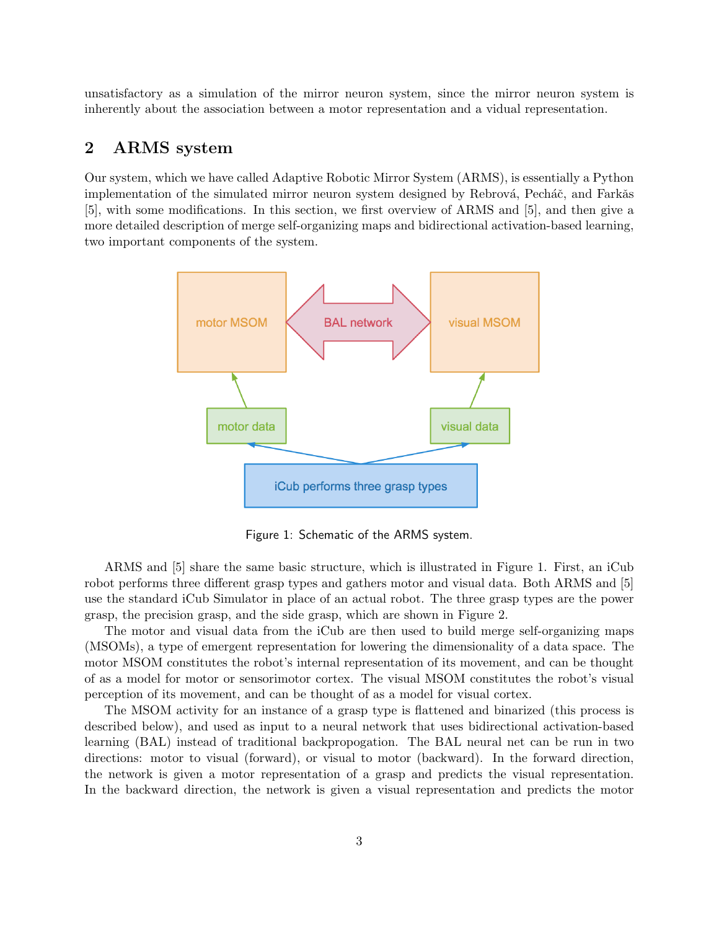unsatisfactory as a simulation of the mirror neuron system, since the mirror neuron system is inherently about the association between a motor representation and a vidual representation.

# 2 ARMS system

Our system, which we have called Adaptive Robotic Mirror System (ARMS), is essentially a Python implementation of the simulated mirror neuron system designed by Rebrová, Pecháč, and Farkǎs [5], with some modifications. In this section, we first overview of ARMS and [5], and then give a more detailed description of merge self-organizing maps and bidirectional activation-based learning, two important components of the system.



Figure 1: Schematic of the ARMS system.

ARMS and [5] share the same basic structure, which is illustrated in Figure 1. First, an iCub robot performs three different grasp types and gathers motor and visual data. Both ARMS and [5] use the standard iCub Simulator in place of an actual robot. The three grasp types are the power grasp, the precision grasp, and the side grasp, which are shown in Figure 2.

The motor and visual data from the iCub are then used to build merge self-organizing maps (MSOMs), a type of emergent representation for lowering the dimensionality of a data space. The motor MSOM constitutes the robot's internal representation of its movement, and can be thought of as a model for motor or sensorimotor cortex. The visual MSOM constitutes the robot's visual perception of its movement, and can be thought of as a model for visual cortex.

The MSOM activity for an instance of a grasp type is flattened and binarized (this process is described below), and used as input to a neural network that uses bidirectional activation-based learning (BAL) instead of traditional backpropogation. The BAL neural net can be run in two directions: motor to visual (forward), or visual to motor (backward). In the forward direction, the network is given a motor representation of a grasp and predicts the visual representation. In the backward direction, the network is given a visual representation and predicts the motor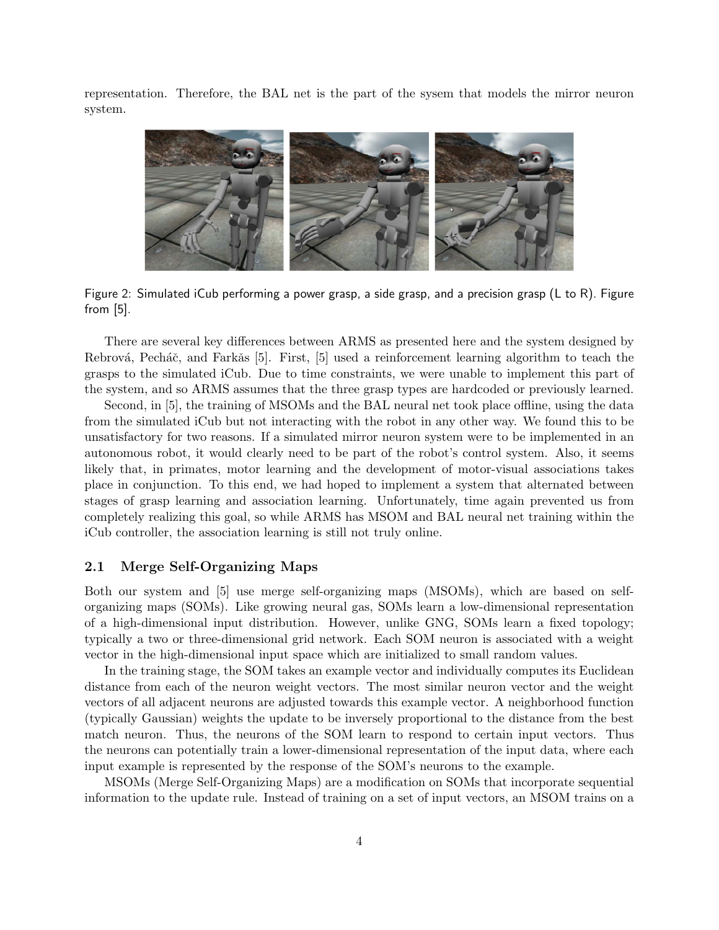representation. Therefore, the BAL net is the part of the sysem that models the mirror neuron system.



Figure 2: Simulated iCub performing a power grasp, a side grasp, and a precision grasp (L to R). Figure from [5].

There are several key differences between ARMS as presented here and the system designed by Rebrová, Pecháč, and Farkǎs [5]. First, [5] used a reinforcement learning algorithm to teach the grasps to the simulated iCub. Due to time constraints, we were unable to implement this part of the system, and so ARMS assumes that the three grasp types are hardcoded or previously learned.

Second, in [5], the training of MSOMs and the BAL neural net took place offline, using the data from the simulated iCub but not interacting with the robot in any other way. We found this to be unsatisfactory for two reasons. If a simulated mirror neuron system were to be implemented in an autonomous robot, it would clearly need to be part of the robot's control system. Also, it seems likely that, in primates, motor learning and the development of motor-visual associations takes place in conjunction. To this end, we had hoped to implement a system that alternated between stages of grasp learning and association learning. Unfortunately, time again prevented us from completely realizing this goal, so while ARMS has MSOM and BAL neural net training within the iCub controller, the association learning is still not truly online.

#### 2.1 Merge Self-Organizing Maps

Both our system and [5] use merge self-organizing maps (MSOMs), which are based on selforganizing maps (SOMs). Like growing neural gas, SOMs learn a low-dimensional representation of a high-dimensional input distribution. However, unlike GNG, SOMs learn a fixed topology; typically a two or three-dimensional grid network. Each SOM neuron is associated with a weight vector in the high-dimensional input space which are initialized to small random values.

In the training stage, the SOM takes an example vector and individually computes its Euclidean distance from each of the neuron weight vectors. The most similar neuron vector and the weight vectors of all adjacent neurons are adjusted towards this example vector. A neighborhood function (typically Gaussian) weights the update to be inversely proportional to the distance from the best match neuron. Thus, the neurons of the SOM learn to respond to certain input vectors. Thus the neurons can potentially train a lower-dimensional representation of the input data, where each input example is represented by the response of the SOM's neurons to the example.

MSOMs (Merge Self-Organizing Maps) are a modification on SOMs that incorporate sequential information to the update rule. Instead of training on a set of input vectors, an MSOM trains on a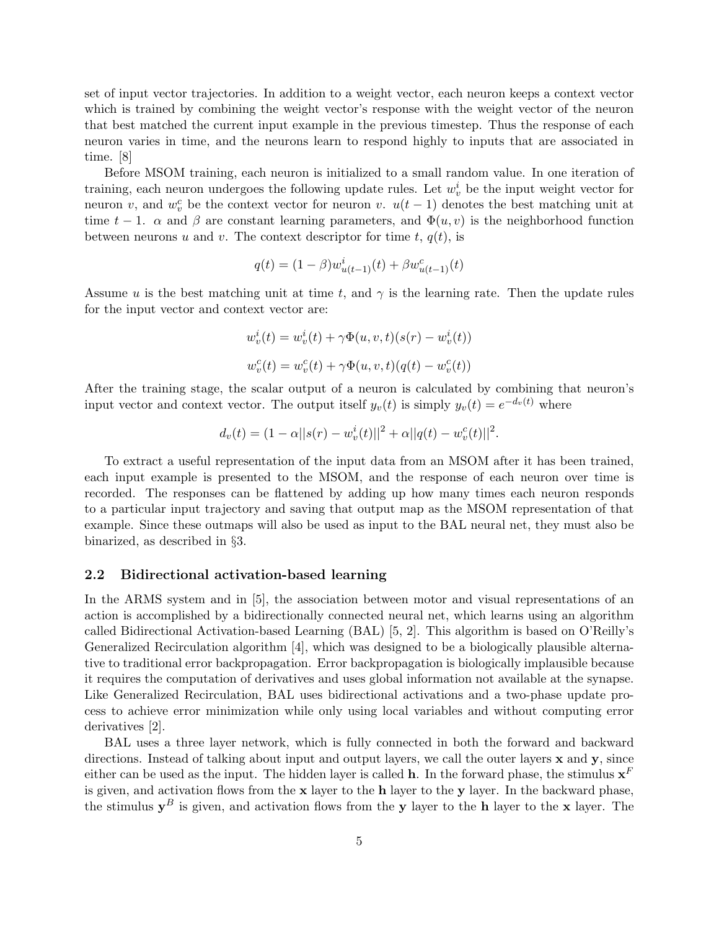set of input vector trajectories. In addition to a weight vector, each neuron keeps a context vector which is trained by combining the weight vector's response with the weight vector of the neuron that best matched the current input example in the previous timestep. Thus the response of each neuron varies in time, and the neurons learn to respond highly to inputs that are associated in time. [8]

Before MSOM training, each neuron is initialized to a small random value. In one iteration of training, each neuron undergoes the following update rules. Let  $w_v^i$  be the input weight vector for neuron v, and  $w_v^c$  be the context vector for neuron v.  $u(t-1)$  denotes the best matching unit at time  $t-1$ .  $\alpha$  and  $\beta$  are constant learning parameters, and  $\Phi(u, v)$  is the neighborhood function between neurons u and v. The context descriptor for time t,  $q(t)$ , is

$$
q(t) = (1 - \beta)w_{u(t-1)}^{i}(t) + \beta w_{u(t-1)}^{c}(t)
$$

Assume u is the best matching unit at time t, and  $\gamma$  is the learning rate. Then the update rules for the input vector and context vector are:

$$
w_v^i(t) = w_v^i(t) + \gamma \Phi(u, v, t)(s(r) - w_v^i(t))
$$
  

$$
w_v^c(t) = w_v^c(t) + \gamma \Phi(u, v, t)(q(t) - w_v^c(t))
$$

After the training stage, the scalar output of a neuron is calculated by combining that neuron's input vector and context vector. The output itself  $y_v(t)$  is simply  $y_v(t) = e^{-d_v(t)}$  where

$$
d_v(t) = (1 - \alpha ||s(r) - w_v^i(t)||^2 + \alpha ||q(t) - w_v^c(t)||^2.
$$

To extract a useful representation of the input data from an MSOM after it has been trained, each input example is presented to the MSOM, and the response of each neuron over time is recorded. The responses can be flattened by adding up how many times each neuron responds to a particular input trajectory and saving that output map as the MSOM representation of that example. Since these outmaps will also be used as input to the BAL neural net, they must also be binarized, as described in §3.

#### 2.2 Bidirectional activation-based learning

In the ARMS system and in [5], the association between motor and visual representations of an action is accomplished by a bidirectionally connected neural net, which learns using an algorithm called Bidirectional Activation-based Learning (BAL) [5, 2]. This algorithm is based on O'Reilly's Generalized Recirculation algorithm [4], which was designed to be a biologically plausible alternative to traditional error backpropagation. Error backpropagation is biologically implausible because it requires the computation of derivatives and uses global information not available at the synapse. Like Generalized Recirculation, BAL uses bidirectional activations and a two-phase update process to achieve error minimization while only using local variables and without computing error derivatives [2].

BAL uses a three layer network, which is fully connected in both the forward and backward directions. Instead of talking about input and output layers, we call the outer layers  $\bf{x}$  and  $\bf{y}$ , since either can be used as the input. The hidden layer is called **h**. In the forward phase, the stimulus  $x^F$ is given, and activation flows from the x layer to the h layer to the y layer. In the backward phase, the stimulus  $y^B$  is given, and activation flows from the y layer to the h layer to the x layer. The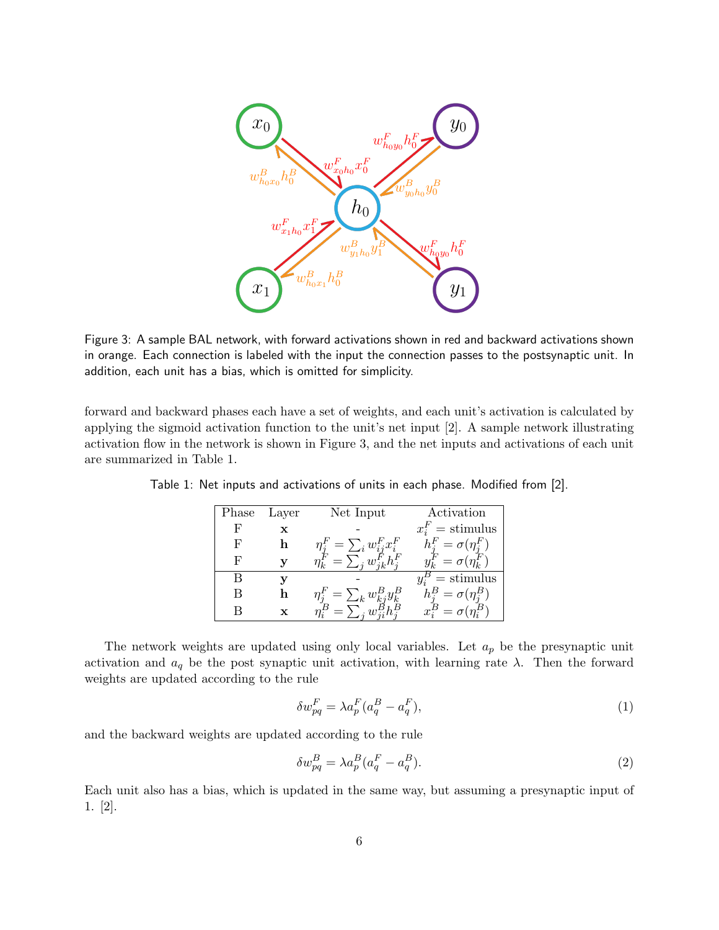

Figure 3: A sample BAL network, with forward activations shown in red and backward activations shown in orange. Each connection is labeled with the input the connection passes to the postsynaptic unit. In addition, each unit has a bias, which is omitted for simplicity.

forward and backward phases each have a set of weights, and each unit's activation is calculated by applying the sigmoid activation function to the unit's net input [2]. A sample network illustrating activation flow in the network is shown in Figure 3, and the net inputs and activations of each unit are summarized in Table 1.

| Phase | Layer | Net Input                          | Activation                 |  |  |
|-------|-------|------------------------------------|----------------------------|--|--|
| F     | x     |                                    | $x_i^F =$ stimulus         |  |  |
| F     |       | $\eta_i^F = \sum_i w_{ii}^F x_i^F$ | $h_i^F = \sigma(\eta_i^F)$ |  |  |
| F     |       | $=\sum_{i}w_{i}^{F}h_{i}^{F}$      | $y_k^F = \sigma(\eta_k^F)$ |  |  |
| В     |       |                                    | $=$ stimulus               |  |  |
| B     |       | $\eta_i^F = \sum_k w_{kj}^B y_k^B$ | $h_i^B = \sigma(\eta_i^B)$ |  |  |
| В     |       |                                    |                            |  |  |

Table 1: Net inputs and activations of units in each phase. Modified from [2].

The network weights are updated using only local variables. Let  $a_p$  be the presynaptic unit activation and  $a_q$  be the post synaptic unit activation, with learning rate  $\lambda$ . Then the forward weights are updated according to the rule

$$
\delta w_{pq}^F = \lambda a_p^F (a_q^B - a_q^F),\tag{1}
$$

and the backward weights are updated according to the rule

$$
\delta w_{pq}^B = \lambda a_p^B (a_q^F - a_q^B). \tag{2}
$$

Each unit also has a bias, which is updated in the same way, but assuming a presynaptic input of 1. [2].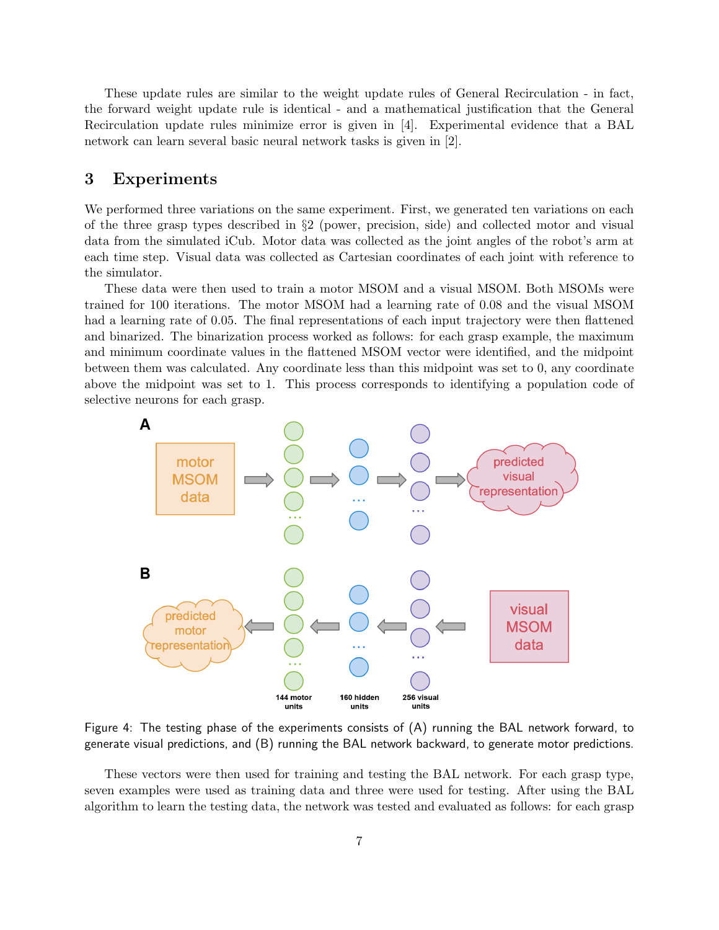These update rules are similar to the weight update rules of General Recirculation - in fact, the forward weight update rule is identical - and a mathematical justification that the General Recirculation update rules minimize error is given in [4]. Experimental evidence that a BAL network can learn several basic neural network tasks is given in [2].

# 3 Experiments

We performed three variations on the same experiment. First, we generated ten variations on each of the three grasp types described in §2 (power, precision, side) and collected motor and visual data from the simulated iCub. Motor data was collected as the joint angles of the robot's arm at each time step. Visual data was collected as Cartesian coordinates of each joint with reference to the simulator.

These data were then used to train a motor MSOM and a visual MSOM. Both MSOMs were trained for 100 iterations. The motor MSOM had a learning rate of 0.08 and the visual MSOM had a learning rate of 0.05. The final representations of each input trajectory were then flattened and binarized. The binarization process worked as follows: for each grasp example, the maximum and minimum coordinate values in the flattened MSOM vector were identified, and the midpoint between them was calculated. Any coordinate less than this midpoint was set to 0, any coordinate above the midpoint was set to 1. This process corresponds to identifying a population code of selective neurons for each grasp.



Figure 4: The testing phase of the experiments consists of (A) running the BAL network forward, to generate visual predictions, and (B) running the BAL network backward, to generate motor predictions.

These vectors were then used for training and testing the BAL network. For each grasp type, seven examples were used as training data and three were used for testing. After using the BAL algorithm to learn the testing data, the network was tested and evaluated as follows: for each grasp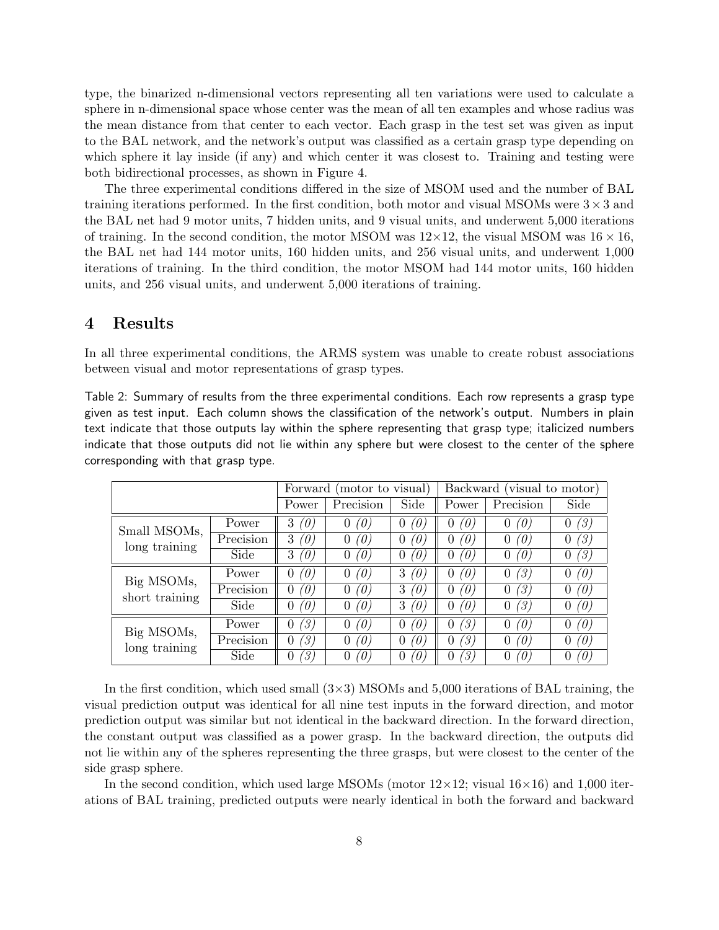type, the binarized n-dimensional vectors representing all ten variations were used to calculate a sphere in n-dimensional space whose center was the mean of all ten examples and whose radius was the mean distance from that center to each vector. Each grasp in the test set was given as input to the BAL network, and the network's output was classified as a certain grasp type depending on which sphere it lay inside (if any) and which center it was closest to. Training and testing were both bidirectional processes, as shown in Figure 4.

The three experimental conditions differed in the size of MSOM used and the number of BAL training iterations performed. In the first condition, both motor and visual MSOMs were  $3 \times 3$  and the BAL net had 9 motor units, 7 hidden units, and 9 visual units, and underwent 5,000 iterations of training. In the second condition, the motor MSOM was  $12\times12$ , the visual MSOM was  $16\times16$ , the BAL net had 144 motor units, 160 hidden units, and 256 visual units, and underwent 1,000 iterations of training. In the third condition, the motor MSOM had 144 motor units, 160 hidden units, and 256 visual units, and underwent 5,000 iterations of training.

## 4 Results

In all three experimental conditions, the ARMS system was unable to create robust associations between visual and motor representations of grasp types.

Table 2: Summary of results from the three experimental conditions. Each row represents a grasp type given as test input. Each column shows the classification of the network's output. Numbers in plain text indicate that those outputs lay within the sphere representing that grasp type; italicized numbers indicate that those outputs did not lie within any sphere but were closest to the center of the sphere corresponding with that grasp type.

|                               |           | Forward (motor to visual) |                       |                      | Backward (visual to motor) |                 |                       |
|-------------------------------|-----------|---------------------------|-----------------------|----------------------|----------------------------|-----------------|-----------------------|
|                               |           | Power                     | Precision             | Side                 | Power                      | Precision       | Side                  |
| Small MSOMs,<br>long training | Power     | 3<br>(0)                  | $\overline{0}$<br>(0) | O)                   | (O)<br>0                   | $\theta$<br>(0) | (3)<br>$\overline{0}$ |
|                               | Precision | 3<br>(0)                  | 0<br>(0)              | O.                   | (0)<br>0                   | (O)<br>$\theta$ | '3)<br>$\theta$       |
|                               | Side      | 3<br>'0)                  | 0<br>0                | '0                   | '0)<br>0                   | '0)             | '3)<br>0              |
| Big MSOMs,<br>short training  | Power     | '0)<br>0                  | (0)<br>0              | 3<br>O               | '0)<br>0                   | '3)<br>0        | '0)<br>$\theta$       |
|                               | Precision | '0)<br>0                  | O)<br>0               | 3<br>$\theta$        | 'O)<br>0                   | '3)<br>0        | '0)<br>$\theta$       |
|                               | Side      | '0)<br>0                  | 0<br>(0,              | 3<br>'0              | '0)<br>0                   | (3)             | (0)<br>$\theta$       |
| Big MSOMs,<br>long training   | Power     | (3)<br>$\overline{0}$     | (0)<br>0              | O,                   | '3)<br>0                   | (0)<br>0        | '0)<br>$\Omega$       |
|                               | Precision | (3)<br>0                  | 0<br>0                | O)                   | '3)<br>0                   | (0)             | 0<br>'0)              |
|                               | Side      | (3)<br>0                  | (0,<br>0              | $\theta^{\, \prime}$ | '3)<br>0                   | 0,              | 'U<br>$\theta$        |

In the first condition, which used small  $(3\times3)$  MSOMs and 5,000 iterations of BAL training, the visual prediction output was identical for all nine test inputs in the forward direction, and motor prediction output was similar but not identical in the backward direction. In the forward direction, the constant output was classified as a power grasp. In the backward direction, the outputs did not lie within any of the spheres representing the three grasps, but were closest to the center of the side grasp sphere.

In the second condition, which used large MSOMs (motor  $12\times12$ ; visual  $16\times16$ ) and 1,000 iterations of BAL training, predicted outputs were nearly identical in both the forward and backward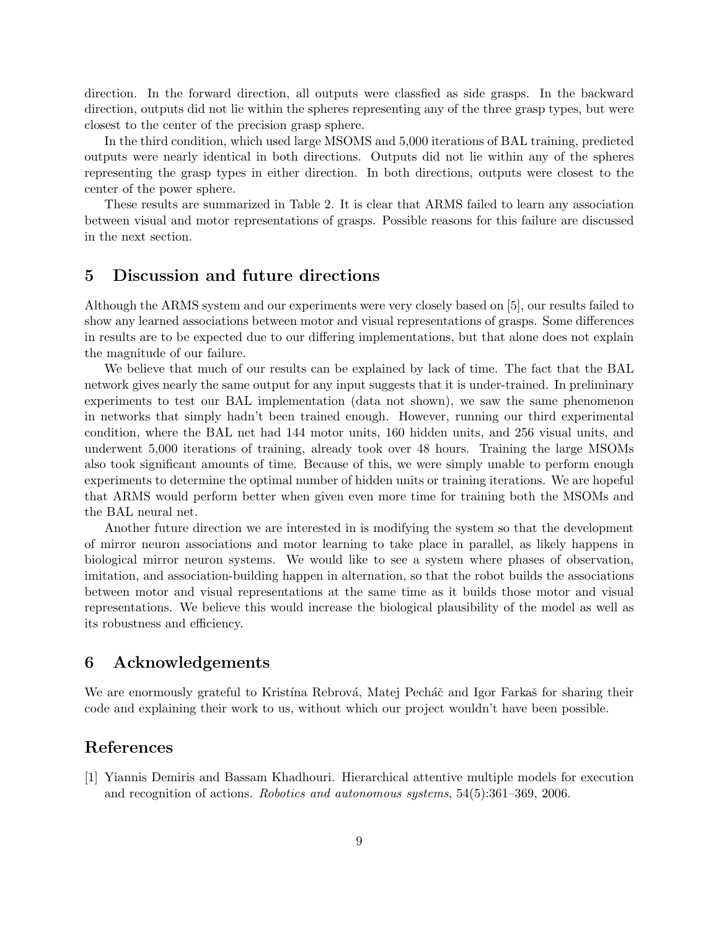direction. In the forward direction, all outputs were classfied as side grasps. In the backward direction, outputs did not lie within the spheres representing any of the three grasp types, but were closest to the center of the precision grasp sphere.

In the third condition, which used large MSOMS and 5,000 iterations of BAL training, predicted outputs were nearly identical in both directions. Outputs did not lie within any of the spheres representing the grasp types in either direction. In both directions, outputs were closest to the center of the power sphere.

These results are summarized in Table 2. It is clear that ARMS failed to learn any association between visual and motor representations of grasps. Possible reasons for this failure are discussed in the next section.

## 5 Discussion and future directions

Although the ARMS system and our experiments were very closely based on [5], our results failed to show any learned associations between motor and visual representations of grasps. Some differences in results are to be expected due to our differing implementations, but that alone does not explain the magnitude of our failure.

We believe that much of our results can be explained by lack of time. The fact that the BAL network gives nearly the same output for any input suggests that it is under-trained. In preliminary experiments to test our BAL implementation (data not shown), we saw the same phenomenon in networks that simply hadn't been trained enough. However, running our third experimental condition, where the BAL net had 144 motor units, 160 hidden units, and 256 visual units, and underwent 5,000 iterations of training, already took over 48 hours. Training the large MSOMs also took significant amounts of time. Because of this, we were simply unable to perform enough experiments to determine the optimal number of hidden units or training iterations. We are hopeful that ARMS would perform better when given even more time for training both the MSOMs and the BAL neural net.

Another future direction we are interested in is modifying the system so that the development of mirror neuron associations and motor learning to take place in parallel, as likely happens in biological mirror neuron systems. We would like to see a system where phases of observation, imitation, and association-building happen in alternation, so that the robot builds the associations between motor and visual representations at the same time as it builds those motor and visual representations. We believe this would increase the biological plausibility of the model as well as its robustness and efficiency.

### 6 Acknowledgements

We are enormously grateful to Kristína Rebrová, Matej Pecháč and Igor Farkaš for sharing their code and explaining their work to us, without which our project wouldn't have been possible.

# References

[1] Yiannis Demiris and Bassam Khadhouri. Hierarchical attentive multiple models for execution and recognition of actions. Robotics and autonomous systems, 54(5):361–369, 2006.